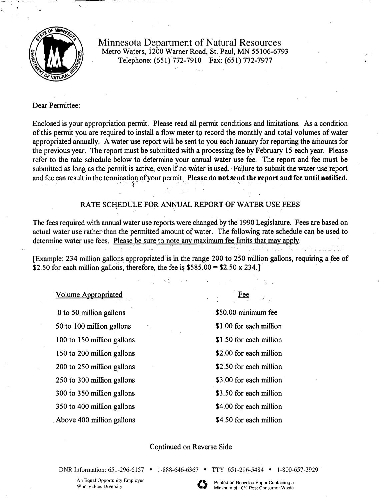

Minnesota Department of Natural Resources Metro Waters, 1200 Warner Road, St. Paul, MN 55106-6793 Telephone: (651) 772-7910 Fax: (651) 772-7977

# Dear Permittee:

Enclosed is your appropriation permit. Please read all permit conditions and limitations. As a condition of this permit you are required to install a flow meter to record the monthly and total volumes of water appropriated annually. A water use report will be sent to you each January for reporting the amounts for the previous year. The report must be submitted with a processing fee by February 15 each year. Please refer to the rate schedule below to determine your annual water use fee. The report and fee must be submitted as long as the permit is active, even if no water is used. Failure to submit the water use report and fee can result in the termination of your permit. Please do not send the report and fee until notified.

# RATE SCHEDULE FOR ANNUAL REPORT QF WATER USE FEES

The fees required with annual water use reports were changed by the 1990 Legislature. Fees are based on actual water use rather than the permitted amount of water. The following rate schedule can be used to determine water use fees. Please be sure to note any maximum fee limits that may apply.

[Example: 234 million gallons appropriated is in the range 200 to 250 million gallons, requiring a fee of \$2.50 for each million gallons, therefore, the fee is  $$585.00 = $2.50 \times 234$ .]

# Volume Appropriated Fee

0 to 50 million gallons \$50.00 minimum fee 50 to 100 million gallons \$1.00 for each million 100 to 150 million gallons \$1.50 for each million 150 to 200 million gallons \$2.00 for each million 200 to 250 million gallons \$2.50 for each million 250 to 300 million gallons \$3.00 for each million 300 to 350 million gallons \$3.50 for each million 350 to 400 million gallons \$4.00 for each million Above 400 million gallons \$4.50 for each million

, .

# Continued on Reverse Side

DNR Information: 651-296-6157 • 1-888-646-6367 • TTY: 651-296-5484 • 1-800-657-3929<br>An Equal Opportunity Employer<br>Who Values Diversity **1.288-646-6367** Printed on Recycled Paper Containing a<br>Minimum of 10% Post-Consumer Wa An Equal Opportunity Employer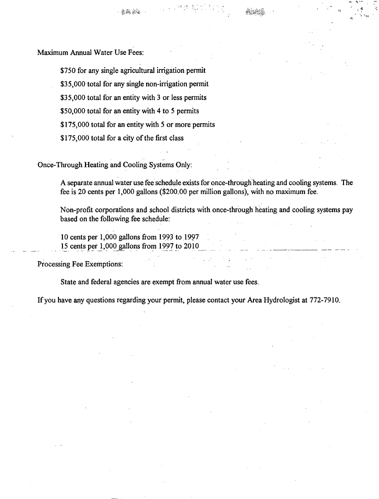Maximum Annual Water Use Fees:

\$750 for any single agricultural irrigation permit \$35,000 total for any single non-irrigation permit \$35,000 total for an entity with 3 or less permits \$50,000 total for an entity with 4 to 5 permits \$175,000 total for an entity with 5 or more permits \$175,000 total for a city of the first class

Once-Through Heating and Cooling Systems Only:

A separate annual water use fee schedule exists for once-through heating and cooling systems. The fee is 20 cents per 1,000 gallons (\$200.00 per million gallons), with no maximum fee.

Non-profit corporations and school districts with once-through heating and cooling systems pay based on the following fee schedule:

10 cents per 1,000 gallons from 1993 to 1997 15 cents per 1,000 gallons from 1997 to 2010

Processing Fee Exemptions:

State and federal agencies are exempt from annual water use fees.

If you have any questions regarding your permit, please contact your Area Hydrologist at 772-7910.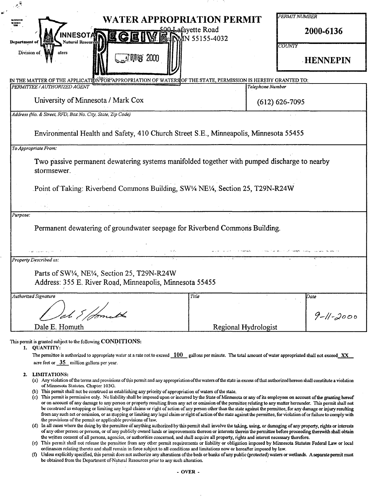| <b>WATER APPROPRIATION PERMIT</b><br><b>E CION I</b>                                                                                 | PERMIT NUMBER        |
|--------------------------------------------------------------------------------------------------------------------------------------|----------------------|
| 500 Lafayette Road<br>INNESOTA                                                                                                       | 2000-6136            |
| <b>E G E IN E IN AN 55155-4032</b><br>Natural Resource<br>Department of                                                              |                      |
| Division of<br>aters                                                                                                                 | COUNTY               |
| <b>C. 2 Mg 2000</b>                                                                                                                  | <b>HENNEPIN</b>      |
|                                                                                                                                      |                      |
| IN THE MATTER OF THE APPLICATION <sup>S</sup> FOR <sup>2</sup> APPROPRIATION OF WATERSOF THE STATE, PERMISSION IS HEREBY GRANTED TO: |                      |
| PERMITTEE / AUTHORIZED AGENT                                                                                                         | Telephone Number     |
| University of Minnesota / Mark Cox                                                                                                   | $(612) 626 - 7095$   |
| Address (No. & Street, RFD, Box No. City, State, Zip Code)                                                                           |                      |
|                                                                                                                                      |                      |
| Environmental Health and Safety, 410 Church Street S.E., Minneapolis, Minnesota 55455                                                |                      |
| To Appropriate From:                                                                                                                 |                      |
| Two passive permanent dewatering systems manifolded together with pumped discharge to nearby                                         |                      |
| stormsewer.                                                                                                                          |                      |
|                                                                                                                                      |                      |
| Point of Taking: Riverbend Commons Building, SW1/4 NE1/4, Section 25, T29N-R24W                                                      |                      |
|                                                                                                                                      |                      |
| Purpose:                                                                                                                             |                      |
| Permanent dewatering of groundwater seepage for Riverbend Commons Building.                                                          |                      |
|                                                                                                                                      |                      |
|                                                                                                                                      |                      |
| المستنقل والمستنقل والمستقلة والمستقلة الاستنقاذ<br>Property Described as:                                                           |                      |
|                                                                                                                                      |                      |
| Parts of SW1/4, NE1/4, Section 25, T29N-R24W                                                                                         |                      |
| Address: 355 E. River Road, Minneapolis, Minnesota 55455                                                                             |                      |
| <b>Authorized Signature</b><br>Title                                                                                                 | Date                 |
|                                                                                                                                      |                      |
|                                                                                                                                      | $9 - 11 - 2000$      |
| Dale E. Homuth                                                                                                                       | Regional Hydrologist |
|                                                                                                                                      |                      |

This permit is granted subject to the following CONDITIONS:

1. QUANTITY:

 $\mathfrak{a}$ 

The permittee is authorized to appropriate water at a rate not to exceed **100** gallons per minute. The total amount of water appropriated shall not exceed\_XX acre feet or  $\frac{35}{2}$  million gallons per year.

### 2. LIMITATIONS:

- (a) Any violation of the terms and provisions of this permit and any appropriation of the waters of the state in excess of that authorized hereon shall constitute a violation of Minnesota Statutes. Chapter 103G.
- (b) This permit shall not be construed as establishing any priority of appropriation of waters of the state.
- (c) This permit is permissive only. No liability shall be imposed upon or incurred by the State of Minnesota or any of its employees on account of the granting hereof or on account of any damage to any person or property resulting from any act or omission of the permittee relating to any matter hereunder. This permit shall not be construed as estopping or limiting any legal claims or right of action of any person other than the state against the permittee, for any damage or injury resulting from any such act or omission, or as stopping or linuting any legal claim or right of action of the state against the permittee, for violation of or failure to comply with the provisions of the permit or applicable provisions of law.
- ( d) In all cases where the doing by the permittee of anything authorized by this permit shall involve the taking, using, or damaging of any property, rights or interests of any other person or persons, or of any publicly owned lands or improvements thereon or interests therein the permittee before proceeding therewith shall obtain the written consent of all persons, agencies, or authorities concerned, and shall acquire all property, rights and interest necessary therefore.
- ( e) This permit shali not release the pennittec from any other pemut requirements or liability or obligation imposed by Minnesota Statutes Federal Law or local ordinances relating thereto and shall remain in force subject to all conditions and limitations now or hereafter imposed by law.
- (f) Unless explicitly specified, this pennit does not authorize any alterations of the beds or banks of any public (protected) waters or wetlands. A separate permit must be obtained from the Department of-Natural Resources prior to any such alteration.